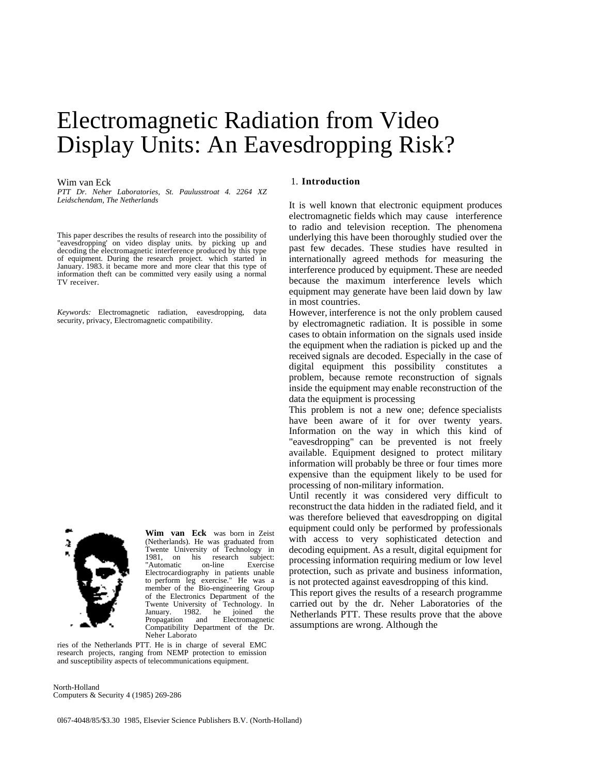# Electromagnetic Radiation from Video Display Units: An Eavesdropping Risk?

*PTT Dr. Neher Laboratories, St. Paulusstroat 4. 2264 XZ*

This paper describes the results of research into the possibility of "eavesdropping' on video display units. by picking up and decoding the electromagnetic interference produced by this type of equipment. During the research project. which started in January. 1983. it became more and more clear that this type of information theft can be committed very easily using a normal TV receiver.

*Keywords:* Electromagnetic radiation, eavesdropping, data security, privacy, Electromagnetic compatibility.



**Wim van Eck** was born in Zeist (Netherlands). He was graduated from Twente University of Technology in 1981, on his research subject: 1981, on his research subject:<br>"Automatic on-line Exercise "Automatic Electrocardiography in patients unable to perform leg exercise." He was a member of the Bio-engineering Group of the Electronics Department of the Twente University of Technology. In January. 1982. he joined the Propagation and Electromagnetic Compatibility Department of the Dr. Neher Laborato

ries of the Netherlands PTT. He is in charge of several EMC research projects, ranging from NEMP protection to emission and susceptibility aspects of telecommunications equipment.

North-Holland Computers & Security 4 (1985) 269-286

### Wim van Eck 1. **Introduction**

It is well known that electronic equipment produces electromagnetic fields which may cause interference to radio and television reception. The phenomena underlying this have been thoroughly studied over the past few decades. These studies have resulted in internationally agreed methods for measuring the interference produced by equipment. These are needed because the maximum interference levels which equipment may generate have been laid down by law in most countries.

However, interference is not the only problem caused by electromagnetic radiation. It is possible in some cases to obtain information on the signals used inside the equipment when the radiation is picked up and the received signals are decoded. Especially in the case of digital equipment this possibility constitutes a problem, because remote reconstruction of signals inside the equipment may enable reconstruction of the data the equipment is processing

This problem is not a new one; defence specialists have been aware of it for over twenty years. Information on the way in which this kind of "eavesdropping" can be prevented is not freely available. Equipment designed to protect military information will probably be three or four times more expensive than the equipment likely to be used for processing of non-military information.

Until recently it was considered very difficult to reconstruct the data hidden in the radiated field, and it was therefore believed that eavesdropping on digital equipment could only be performed by professionals with access to very sophisticated detection and decoding equipment. As a result, digital equipment for processing information requiring medium or low level protection, such as private and business information, is not protected against eavesdropping of this kind.

This report gives the results of a research programme carried out by the dr. Neher Laboratories of the Netherlands PTT. These results prove that the above assumptions are wrong. Although the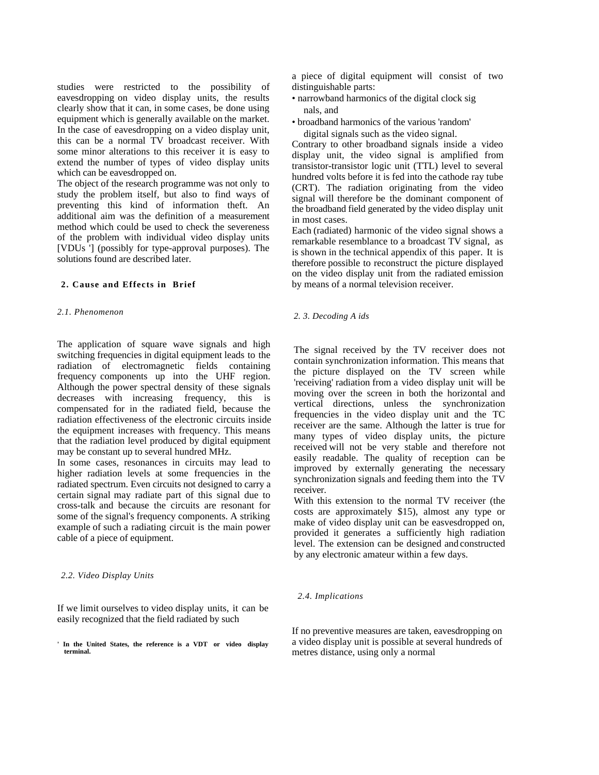studies were restricted to the possibility of eavesdropping on video display units, the results clearly show that it can, in some cases, be done using equipment which is generally available on the market. In the case of eavesdropping on a video display unit, this can be a normal TV broadcast receiver. With some minor alterations to this receiver it is easy to extend the number of types of video display units which can be eavesdropped on.

The object of the research programme was not only to study the problem itself, but also to find ways of preventing this kind of information theft. An additional aim was the definition of a measurement method which could be used to check the severeness of the problem with individual video display units [VDUs '] (possibly for type-approval purposes). The solutions found are described later.

The application of square wave signals and high switching frequencies in digital equipment leads to the radiation of electromagnetic fields containing frequency components up into the UHF region. Although the power spectral density of these signals decreases with increasing frequency, this is compensated for in the radiated field, because the radiation effectiveness of the electronic circuits inside the equipment increases with frequency. This means that the radiation level produced by digital equipment may be constant up to several hundred MHz.

In some cases, resonances in circuits may lead to higher radiation levels at some frequencies in the radiated spectrum. Even circuits not designed to carry a certain signal may radiate part of this signal due to cross-talk and because the circuits are resonant for some of the signal's frequency components. A striking example of such a radiating circuit is the main power cable of a piece of equipment.

*2.2. Video Display Units*

If we limit ourselves to video display units, it can be easily recognized that the field radiated by such

a piece of digital equipment will consist of two distinguishable parts:

- narrowband harmonics of the digital clock sig nals, and
- broadband harmonics of the various 'random' digital signals such as the video signal.

Contrary to other broadband signals inside a video display unit, the video signal is amplified from transistor-transistor logic unit (TTL) level to several hundred volts before it is fed into the cathode ray tube (CRT). The radiation originating from the video signal will therefore be the dominant component of the broadband field generated by the video display unit in most cases.

Each (radiated) harmonic of the video signal shows a remarkable resemblance to a broadcast TV signal, as is shown in the technical appendix of this paper. It is therefore possible to reconstruct the picture displayed on the video display unit from the radiated emission **2. Cause and Effects in Brief** by means of a normal television receiver.

## *2.1. Phenomenon 2. 3. Decoding A ids*

The signal received by the TV receiver does not contain synchronization information. This means that the picture displayed on the TV screen while 'receiving' radiation from a video display unit will be moving over the screen in both the horizontal and vertical directions, unless the synchronization frequencies in the video display unit and the TC receiver are the same. Although the latter is true for many types of video display units, the picture received will not be very stable and therefore not easily readable. The quality of reception can be improved by externally generating the necessary synchronization signals and feeding them into the TV receiver.

With this extension to the normal TV receiver (the costs are approximately \$15), almost any type or make of video display unit can be easvesdropped on, provided it generates a sufficiently high radiation level. The extension can be designed and constructed by any electronic amateur within a few days.

### *2.4. Implications*

If no preventive measures are taken, eavesdropping on a video display unit is possible at several hundreds of metres distance, using only a normal

**<sup>&#</sup>x27; In the United States, the reference is a VDT or video display terminal.**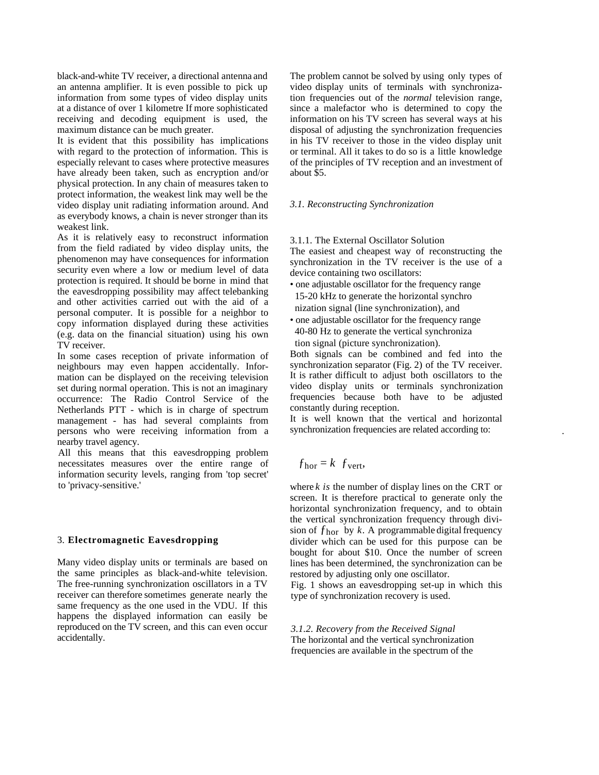black-and-white TV receiver, a directional antenna and an antenna amplifier. It is even possible to pick up information from some types of video display units at a distance of over 1 kilometre If more sophisticated receiving and decoding equipment is used, the maximum distance can be much greater.

It is evident that this possibility has implications with regard to the protection of information. This is especially relevant to cases where protective measures have already been taken, such as encryption and/or physical protection. In any chain of measures taken to protect information, the weakest link may well be the video display unit radiating information around. And as everybody knows, a chain is never stronger than its weakest link.

As it is relatively easy to reconstruct information from the field radiated by video display units, the phenomenon may have consequences for information security even where a low or medium level of data protection is required. It should be borne in mind that the eavesdropping possibility may affect telebanking and other activities carried out with the aid of a personal computer. It is possible for a neighbor to copy information displayed during these activities (e.g. data on the financial situation) using his own TV receiver.

In some cases reception of private information of neighbours may even happen accidentally. Information can be displayed on the receiving television set during normal operation. This is not an imaginary occurrence: The Radio Control Service of the Netherlands PTT - which is in charge of spectrum management - has had several complaints from persons who were receiving information from a nearby travel agency.

All this means that this eavesdropping problem necessitates measures over the entire range of information security levels, ranging from 'top secret' to 'privacy-sensitive.'

### 3. **Electromagnetic Eavesdropping**

Many video display units or terminals are based on the same principles as black-and-white television. The free-running synchronization oscillators in a TV receiver can therefore sometimes generate nearly the same frequency as the one used in the VDU. If this happens the displayed information can easily be reproduced on the TV screen, and this can even occur accidentally.

The problem cannot be solved by using only types of video display units of terminals with synchronization frequencies out of the *normal* television range, since a malefactor who is determined to copy the information on his TV screen has several ways at his disposal of adjusting the synchronization frequencies in his TV receiver to those in the video display unit or terminal. All it takes to do so is a little knowledge of the principles of TV reception and an investment of about \$5.

### *3.1. Reconstructing Synchronization*

3.1.1. The External Oscillator Solution

The easiest and cheapest way of reconstructing the synchronization in the TV receiver is the use of a device containing two oscillators:

- one adjustable oscillator for the frequency range 15-20 kHz to generate the horizontal synchro nization signal (line synchronization), and
- one adjustable oscillator for the frequency range 40-80 Hz to generate the vertical synchroniza tion signal (picture synchronization).

Both signals can be combined and fed into the synchronization separator (Fig. 2) of the TV receiver. It is rather difficult to adjust both oscillators to the video display units or terminals synchronization frequencies because both have to be adjusted constantly during reception.

It is well known that the vertical and horizontal synchronization frequencies are related according to: .

## $f_{\text{hor}} = k f_{\text{vert}}$

where  $k$  is the number of display lines on the CRT or screen. It is therefore practical to generate only the horizontal synchronization frequency, and to obtain the vertical synchronization frequency through division of  $f_{\text{hor}}$  by *k*. A programmable digital frequency divider which can be used for this purpose can be bought for about \$10. Once the number of screen lines has been determined, the synchronization can be restored by adjusting only one oscillator.

Fig. 1 shows an eavesdropping set-up in which this type of synchronization recovery is used.

*3.1.2. Recovery from the Received Signal* The horizontal and the vertical synchronization frequencies are available in the spectrum of the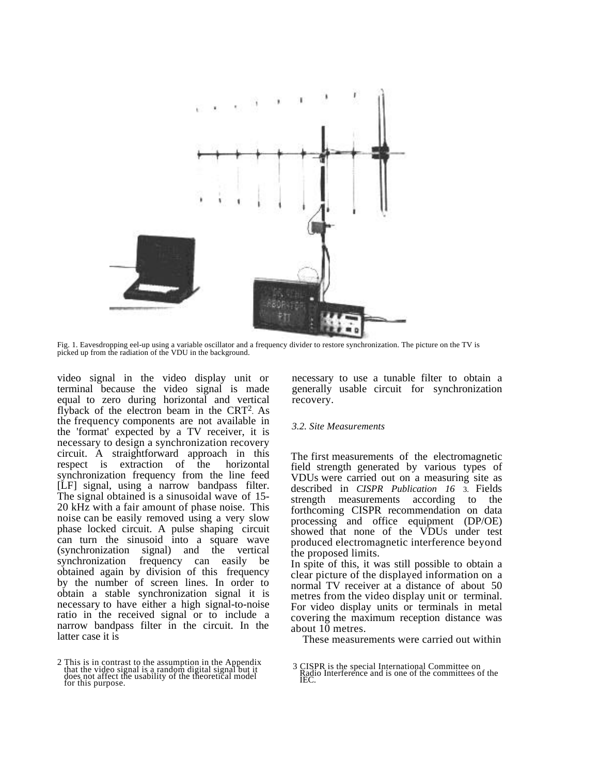

Fig. 1. Eavesdropping eel-up using a variable oscillator and a frequency divider to restore synchronization. The picture on the TV is picked up from the radiation of the VDU in the background.

video signal in the video display unit or terminal because the video signal is made equal to zero during horizontal and vertical flyback of the electron beam in the CRT2. As the frequency components are not available in the 'format' expected by a TV receiver, it is necessary to design a synchronization recovery circuit. A straightforward approach in this respect is extraction of the horizontal synchronization frequency from the line feed [LF] signal, using a narrow bandpass filter. The signal obtained is a sinusoidal wave of 15- 20 kHz with a fair amount of phase noise. This noise can be easily removed using a very slow phase locked circuit. A pulse shaping circuit can turn the sinusoid into a square wave (synchronization signal) and the vertical synchronization frequency can easily be obtained again by division of this frequency by the number of screen lines. In order to obtain a stable synchronization signal it is necessary to have either a high signal-to-noise ratio in the received signal or to include a narrow bandpass filter in the circuit. In the latter case it is

2 This is in contrast to the assumption in the Appendix that the video signal is a random digital signal but it does not affect the usability of the theoretical model for this purpose.

necessary to use a tunable filter to obtain a generally usable circuit for synchronization recovery.

### *3.2. Site Measurements*

The first measurements of the electromagnetic field strength generated by various types of VDUs were carried out on a measuring site as described in *CISPR Publication 16* 3. Fields strength measurements according to the forthcoming CISPR recommendation on data processing and office equipment (DP/OE) showed that none of the VDUs under test produced electromagnetic interference beyond the proposed limits.

In spite of this, it was still possible to obtain a clear picture of the displayed information on a normal TV receiver at a distance of about 50 metres from the video display unit or terminal. For video display units or terminals in metal covering the maximum reception distance was about 10 metres.

These measurements were carried out within

<sup>3</sup> CISPR is the special International Committee on Radio Interference and is one of the committees of the IEC.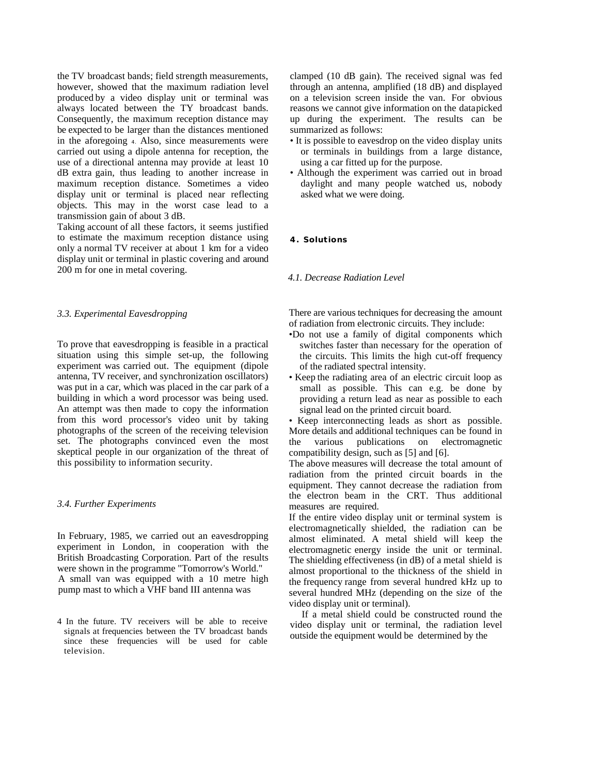the TV broadcast bands; field strength measurements, however, showed that the maximum radiation level produced by a video display unit or terminal was always located between the TY broadcast bands. Consequently, the maximum reception distance may be expected to be larger than the distances mentioned in the aforegoing 4. Also, since measurements were carried out using a dipole antenna for reception, the use of a directional antenna may provide at least 10 dB extra gain, thus leading to another increase in maximum reception distance. Sometimes a video display unit or terminal is placed near reflecting objects. This may in the worst case lead to a transmission gain of about 3 dB.

Taking account of all these factors, it seems justified to estimate the maximum reception distance using only a normal TV receiver at about 1 km for a video display unit or terminal in plastic covering and around 200 m for one in metal covering.

### *3.3. Experimental Eavesdropping*

To prove that eavesdropping is feasible in a practical situation using this simple set-up, the following experiment was carried out. The equipment (dipole antenna, TV receiver, and synchronization oscillators) was put in a car, which was placed in the car park of a building in which a word processor was being used. An attempt was then made to copy the information from this word processor's video unit by taking photographs of the screen of the receiving television set. The photographs convinced even the most skeptical people in our organization of the threat of this possibility to information security.

### *3.4. Further Experiments*

In February, 1985, we carried out an eavesdropping experiment in London, in cooperation with the British Broadcasting Corporation. Part of the results were shown in the programme "Tomorrow's World." A small van was equipped with a 10 metre high pump mast to which a VHF band III antenna was

clamped (10 dB gain). The received signal was fed through an antenna, amplified (18 dB) and displayed on a television screen inside the van. For obvious reasons we cannot give information on the data picked up during the experiment. The results can be summarized as follows:

- It is possible to eavesdrop on the video display units or terminals in buildings from a large distance, using a car fitted up for the purpose.
- Although the experiment was carried out in broad daylight and many people watched us, nobody asked what we were doing.

### **4. Solutions**

### *4.1. Decrease Radiation Level*

There are various techniques for decreasing the amount of radiation from electronic circuits. They include:

- •Do not use a family of digital components which switches faster than necessary for the operation of the circuits. This limits the high cut-off frequency of the radiated spectral intensity.
- Keep the radiating area of an electric circuit loop as small as possible. This can e.g. be done by providing a return lead as near as possible to each signal lead on the printed circuit board.

• Keep interconnecting leads as short as possible. More details and additional techniques can be found in the various publications on electromagnetic compatibility design, such as [5] and [6].

The above measures will decrease the total amount of radiation from the printed circuit boards in the equipment. They cannot decrease the radiation from the electron beam in the CRT. Thus additional measures are required.

If the entire video display unit or terminal system is electromagnetically shielded, the radiation can be almost eliminated. A metal shield will keep the electromagnetic energy inside the unit or terminal. The shielding effectiveness (in dB) of a metal shield is almost proportional to the thickness of the shield in the frequency range from several hundred kHz up to several hundred MHz (depending on the size of the video display unit or terminal).

If a metal shield could be constructed round the video display unit or terminal, the radiation level outside the equipment would be determined by the

<sup>4</sup> In the future. TV receivers will be able to receive signals at frequencies between the TV broadcast bands since these frequencies will be used for cable television.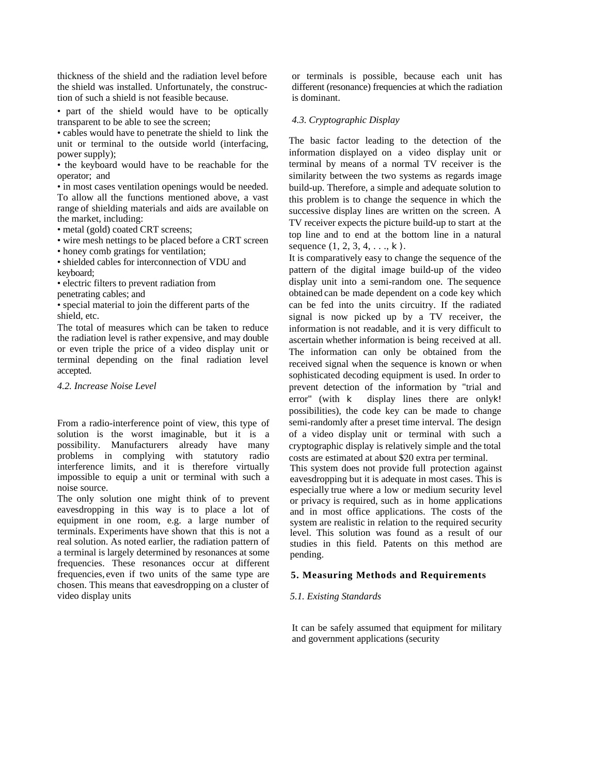thickness of the shield and the radiation level before the shield was installed. Unfortunately, the construction of such a shield is not feasible because.

• part of the shield would have to be optically transparent to be able to see the screen;

• cables would have to penetrate the shield to link the unit or terminal to the outside world (interfacing, power supply);

• the keyboard would have to be reachable for the operator; and

• in most cases ventilation openings would be needed. To allow all the functions mentioned above, a vast range of shielding materials and aids are available on the market, including:

• metal (gold) coated CRT screens;

• wire mesh nettings to be placed before a CRT screen

• honey comb gratings for ventilation;

• shielded cables for interconnection of VDU and keyboard;

• electric filters to prevent radiation from

penetrating cables; and

• special material to join the different parts of the shield, etc.

The total of measures which can be taken to reduce the radiation level is rather expensive, and may double or even triple the price of a video display unit or terminal depending on the final radiation level accepted.

*4.2. Increase Noise Level*

From a radio-interference point of view, this type of solution is the worst imaginable, but it is a possibility. Manufacturers already have many problems in complying with statutory radio interference limits, and it is therefore virtually impossible to equip a unit or terminal with such a noise source.

The only solution one might think of to prevent eavesdropping in this way is to place a lot of equipment in one room, e.g. a large number of terminals. Experiments have shown that this is not a real solution. As noted earlier, the radiation pattern of a terminal is largely determined by resonances at some frequencies. These resonances occur at different frequencies, even if two units of the same type are chosen. This means that eavesdropping on a cluster of video display units

or terminals is possible, because each unit has different (resonance) frequencies at which the radiation is dominant.

### *4.3. Cryptographic Display*

The basic factor leading to the detection of the information displayed on a video display unit or terminal by means of a normal TV receiver is the similarity between the two systems as regards image build-up. Therefore, a simple and adequate solution to this problem is to change the sequence in which the successive display lines are written on the screen. A TV receiver expects the picture build-up to start at the top line and to end at the bottom line in a natural sequence (1, 2, 3, 4, . . ., *k ).*

It is comparatively easy to change the sequence of the pattern of the digital image build-up of the video display unit into a semi-random one. The sequence obtained can be made dependent on a code key which can be fed into the units circuitry. If the radiated signal is now picked up by a TV receiver, the information is not readable, and it is very difficult to ascertain whether information is being received at all. The information can only be obtained from the received signal when the sequence is known or when sophisticated decoding equipment is used. In order to prevent detection of the information by "trial and error" (with *k* display lines there are only*k!* possibilities), the code key can be made to change semi-randomly after a preset time interval. The design of a video display unit or terminal with such a cryptographic display is relatively simple and the total costs are estimated at about \$20 extra per terminal.

This system does not provide full protection against eavesdropping but it is adequate in most cases. This is especially true where a low or medium security level or privacy is required, such as in home applications and in most office applications. The costs of the system are realistic in relation to the required security level. This solution was found as a result of our studies in this field. Patents on this method are pending.

### **5. Measuring Methods and Requirements**

### *5.1. Existing Standards*

It can be safely assumed that equipment for military and government applications (security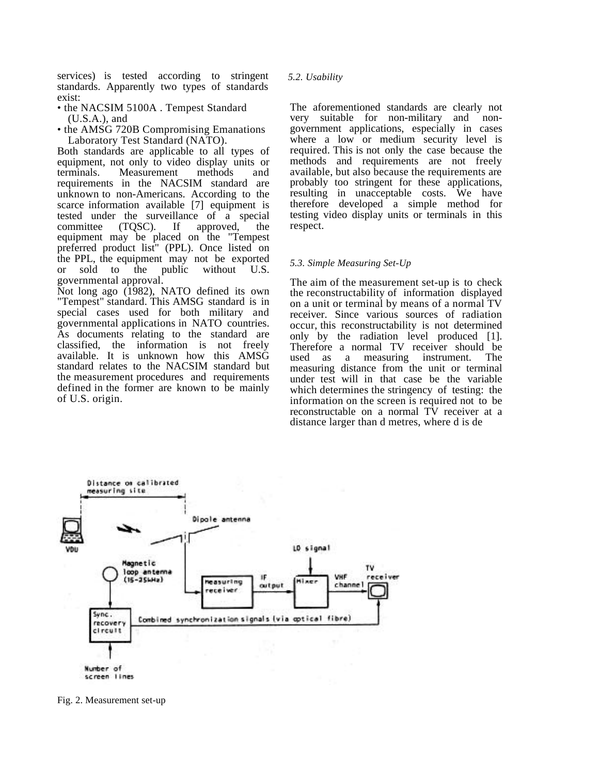services) is tested according to stringent standards. Apparently two types of standards exist:

- the NACSIM 5100A . Tempest Standard (U.S.A.), and
- the AMSG 720B Compromising Emanations Laboratory Test Standard (NATO).

Both standards are applicable to all types of equipment, not only to video display units or terminals. Measurement methods and requirements in the NACSIM standard are unknown to non-Americans. According to the scarce information available [7] equipment is tested under the surveillance of a special committee (TQSC). If approved, the equipment may be placed on the "Tempest" preferred product list" (PPL). Once listed on the PPL, the equipment may not be exported<br>or sold to the public without U.S. or sold to the public without U.S. governmental approval.

Not long ago (1982), NATO defined its own "Tempest" standard. This AMSG standard is in special cases used for both military and governmental applications in NATO countries. As documents relating to the standard are classified, the information is not freely available. It is unknown how this AMSG standard relates to the NACSIM standard but the measurement procedures and requirements defined in the former are known to be mainly of U.S. origin.

*5.2. Usability*

The aforementioned standards are clearly not very suitable for non-military and nongovernment applications, especially in cases where a low or medium security level is required. This is not only the case because the methods and requirements are not freely available, but also because the requirements are probably too stringent for these applications, resulting in unacceptable costs. We have therefore developed a simple method for testing video display units or terminals in this respect.

### *5.3. Simple Measuring Set-Up*

The aim of the measurement set-up is to check the reconstructability of information displayed on a unit or terminal by means of a normal TV receiver. Since various sources of radiation occur, this reconstructability is not determined only by the radiation level produced [1]. Therefore a normal TV receiver should be used as a measuring instrument. The measuring distance from the unit or terminal under test will in that case be the variable which determines the stringency of testing: the information on the screen is required not to be reconstructable on a normal TV receiver at a distance larger than d metres, where d is de



Fig. 2. Measurement set-up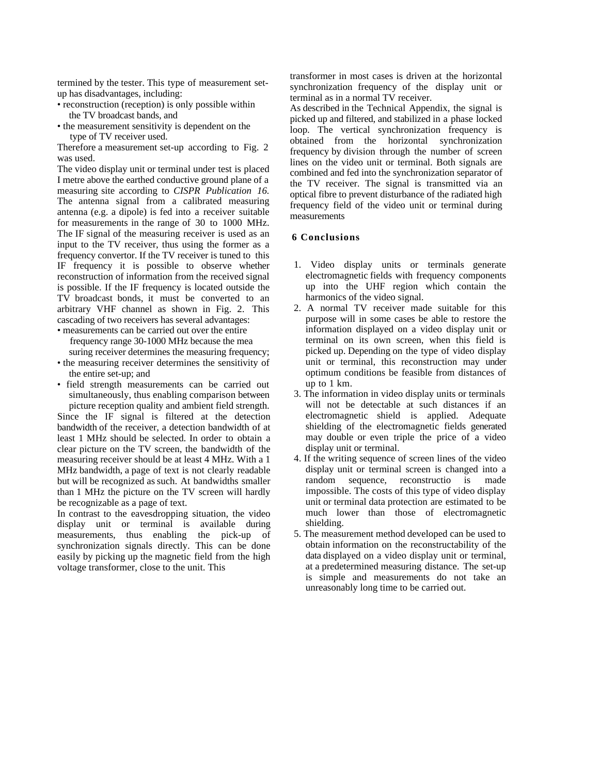termined by the tester. This type of measurement setup has disadvantages, including:

- reconstruction (reception) is only possible within the TV broadcast bands, and
- the measurement sensitivity is dependent on the type of TV receiver used.

Therefore a measurement set-up according to Fig. 2 was used.

The video display unit or terminal under test is placed I metre above the earthed conductive ground plane of a measuring site according to *CISPR Publication 16.* The antenna signal from a calibrated measuring antenna (e.g. a dipole) is fed into a receiver suitable for measurements in the range of 30 to 1000 MHz. The IF signal of the measuring receiver is used as an input to the TV receiver, thus using the former as a frequency convertor. If the TV receiver is tuned to this IF frequency it is possible to observe whether reconstruction of information from the received signal is possible. If the IF frequency is located outside the TV broadcast bonds, it must be converted to an arbitrary VHF channel as shown in Fig. 2. This cascading of two receivers has several advantages:

- measurements can be carried out over the entire frequency range 30-1000 MHz because the mea suring receiver determines the measuring frequency;
- the measuring receiver determines the sensitivity of the entire set-up; and
- field strength measurements can be carried out simultaneously, thus enabling comparison between picture reception quality and ambient field strength.

Since the IF signal is filtered at the detection bandwidth of the receiver, a detection bandwidth of at least 1 MHz should be selected. In order to obtain a clear picture on the TV screen, the bandwidth of the measuring receiver should be at least 4 MHz. With a 1 MHz bandwidth, a page of text is not clearly readable but will be recognized as such. At bandwidths smaller than 1 MHz the picture on the TV screen will hardly be recognizable as a page of text.

In contrast to the eavesdropping situation, the video display unit or terminal is available during measurements, thus enabling the pick-up of synchronization signals directly. This can be done easily by picking up the magnetic field from the high voltage transformer, close to the unit. This

transformer in most cases is driven at the horizontal synchronization frequency of the display unit or terminal as in a normal TV receiver.

As described in the Technical Appendix, the signal is picked up and filtered, and stabilized in a phase locked loop. The vertical synchronization frequency is obtained from the horizontal synchronization frequency by division through the number of screen lines on the video unit or terminal. Both signals are combined and fed into the synchronization separator of the TV receiver. The signal is transmitted via an optical fibre to prevent disturbance of the radiated high frequency field of the video unit or terminal during measurements

### **6 Conclusions**

- 1. Video display units or terminals generate electromagnetic fields with frequency components up into the UHF region which contain the harmonics of the video signal.
- 2. A normal TV receiver made suitable for this purpose will in some cases be able to restore the information displayed on a video display unit or terminal on its own screen, when this field is picked up. Depending on the type of video display unit or terminal, this reconstruction may under optimum conditions be feasible from distances of up to 1 km.
- 3. The information in video display units or terminals will not be detectable at such distances if an electromagnetic shield is applied. Adequate shielding of the electromagnetic fields generated may double or even triple the price of a video display unit or terminal.
- 4. If the writing sequence of screen lines of the video display unit or terminal screen is changed into a random sequence, reconstructio is made impossible. The costs of this type of video display unit or terminal data protection are estimated to be much lower than those of electromagnetic shielding.
- 5. The measurement method developed can be used to obtain information on the reconstructability of the data displayed on a video display unit or terminal, at a predetermined measuring distance. The set-up is simple and measurements do not take an unreasonably long time to be carried out.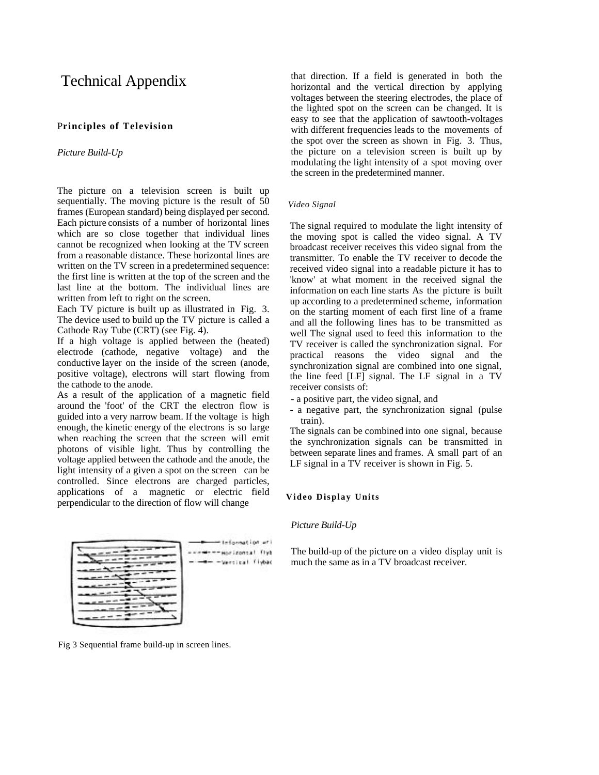## Technical Appendix

### P**rinciples of Television**

### *Picture Build-Up*

The picture on a television screen is built up sequentially. The moving picture is the result of 50 frames (European standard) being displayed per second. Each picture consists of a number of horizontal lines which are so close together that individual lines cannot be recognized when looking at the TV screen from a reasonable distance. These horizontal lines are written on the TV screen in a predetermined sequence: the first line is written at the top of the screen and the last line at the bottom. The individual lines are written from left to right on the screen.

Each TV picture is built up as illustrated in Fig. 3. The device used to build up the TV picture is called a Cathode Ray Tube (CRT) (see Fig. 4).

If a high voltage is applied between the (heated) electrode (cathode, negative voltage) and the conductive layer on the inside of the screen (anode, positive voltage), electrons will start flowing from the cathode to the anode.

As a result of the application of a magnetic field around the 'foot' of the CRT the electron flow is guided into a very narrow beam. If the voltage is high enough, the kinetic energy of the electrons is so large when reaching the screen that the screen will emit photons of visible light. Thus by controlling the voltage applied between the cathode and the anode, the light intensity of a given a spot on the screen can be controlled. Since electrons are charged particles, applications of a magnetic or electric field perpendicular to the direction of flow will change

that direction. If a field is generated in both the horizontal and the vertical direction by applying voltages between the steering electrodes, the place of the lighted spot on the screen can be changed. It is easy to see that the application of sawtooth-voltages with different frequencies leads to the movements of the spot over the screen as shown in Fig. 3. Thus, the picture on a television screen is built up by modulating the light intensity of a spot moving over the screen in the predetermined manner.

### *Video Signal*

The signal required to modulate the light intensity of the moving spot is called the video signal. A TV broadcast receiver receives this video signal from the transmitter. To enable the TV receiver to decode the received video signal into a readable picture it has to 'know' at what moment in the received signal the information on each line starts As the picture is built up according to a predetermined scheme, information on the starting moment of each first line of a frame and all the following lines has to be transmitted as well The signal used to feed this information to the TV receiver is called the synchronization signal. For practical reasons the video signal and the synchronization signal are combined into one signal, the line feed [LF] signal. The LF signal in a TV receiver consists of:

- a positive part, the video signal, and

- a negative part, the synchronization signal (pulse train).

The signals can be combined into one signal, because the synchronization signals can be transmitted in between separate lines and frames. A small part of an LF signal in a TV receiver is shown in Fig. 5.

### **Video Display Units**

### *Picture Build-Up*

The build-up of the picture on a video display unit is much the same as in a TV broadcast receiver.



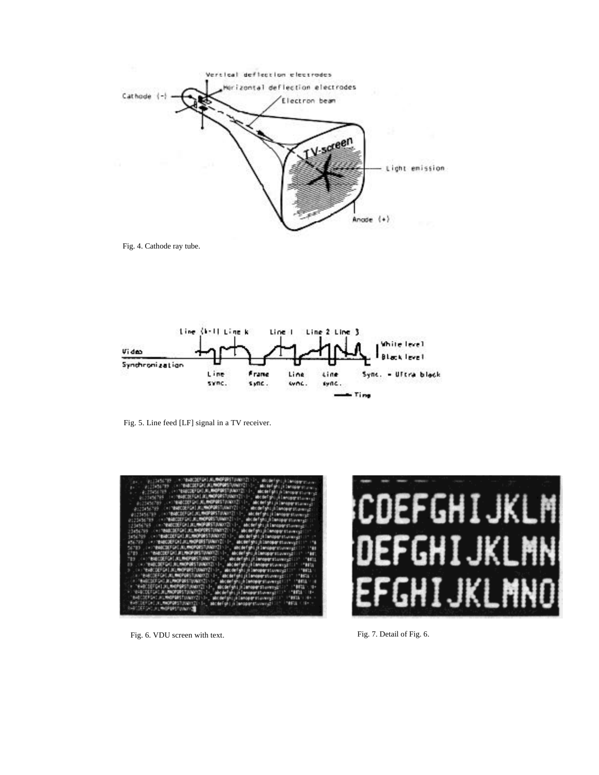

Fig. 4. Cathode ray tube.



Fig. 5. Line feed [LF] signal in a TV receiver.

| <b>SHECKER ALL INSPERSIONALITY</b> | THE RESIDENCE CONTINUES IN A REPORT WITH THE RECEIVED FOR A REPORT OF A RECEIVED ON A REPORT OF A REPORT OF A REPORT OF A REPORT OF A REPORT OF A REPORT OF A REPORT OF A REPORT OF A REPORT OF A REPORT OF A REPORT OF A REPO<br>- 0127456769 (in) WARCDEFOREはLMADPORT/VARTY21 ) - Model philatexportformula<br>- ALCOHOLYSE . LECTRABILIER AL MORRESTOVICO D. Le., and net physical process staves at<br>accordance content and content and the content of the content of the content of the content of<br>#123456799 / =>784800EFGHLAUMHOPOPSTUVARTZL-1-, abcdefghs.jklanoporstuveryz-<br>e123456789 / +>>784802EFD40.ALMADPORTTURNTZTYTY / whodefight in tenoper staveryzhili<br>123456769 . (m) 70000007GM1.0LUMOPORSTOWAY/21\1+, abcdefight.pk1anoporstummu21. (*<br>23456769 . (113640000FOREAUMOPORTIVANTE) \P., abcomfghs.jklanopor.stave.com/////<br>3e%769 (中国語のDEFDRIALMOPORSTANDYZI) - abcdefghtjklandgoratuvasqilili<br>ASS 789 . (+) YEARCOEF CAT JALANGPORE TUAKAY DIA TH. AND REFLY A LIST ONE RESULT IN THE THE<br>SATED LEVELWARE DEEMS MUMORRETUNDERED TO LARCONFORT (REMODERATION VALUE) "THE<br>4789.  [4] "BABCDEF DH] JELMAOP BRSTUMARTZI \ I ~ abc derf gha jh Lanopor stuvery.2 [1] " - " latt<br>789 .co/fBABCOEFGATUREPORSTURNIYZI\I+, whodefghtjilenoporatuseoustCII+ Fakts<br>23. (iii) "executive C.P.L.PAOPORSTUNICITY. \    abcdef you je Lamoporation was at [1] " "http:<br>3 con tal (2013) ALMOPASTUNATZIN H., aktoriyki Almoparatovanyi III (1981) (<br>A A REMODEFORE AN IMPORTANCE OF THE MICHIGAN (Remoderationary 2011) THERE CA<br>(a) "BARCOEFDALALAMOPORSTUNKTZINI», Microelgha je lanoporstuvenski (il" i "BRIA v 18<br>(+ "##000FG412UMOPORTURADYZIN3+, #DOMF9N1JE3anoportRuvers@CEFC 3"#FGE", tk+<br>"BABCOSPGHIJKLMMOPORSTUNNIY/2 \J+_'abcobfghijklanopoputavery2 !!!" "#Elk'! H+.-<br>Executive Consumer SPS (PARKED For Construction of Consumer SPS)<br>問題Ⅰ ○ 日本 マー |
|------------------------------------|-------------------------------------------------------------------------------------------------------------------------------------------------------------------------------------------------------------------------------------------------------------------------------------------------------------------------------------------------------------------------------------------------------------------------------------------------------------------------------------------------------------------------------------------------------------------------------------------------------------------------------------------------------------------------------------------------------------------------------------------------------------------------------------------------------------------------------------------------------------------------------------------------------------------------------------------------------------------------------------------------------------------------------------------------------------------------------------------------------------------------------------------------------------------------------------------------------------------------------------------------------------------------------------------------------------------------------------------------------------------------------------------------------------------------------------------------------------------------------------------------------------------------------------------------------------------------------------------------------------------------------------------------------------------------------------------------------------------------------------------------------------------------------------------------------------------------------------------------------------------------------------------------------------------------|
|------------------------------------|-------------------------------------------------------------------------------------------------------------------------------------------------------------------------------------------------------------------------------------------------------------------------------------------------------------------------------------------------------------------------------------------------------------------------------------------------------------------------------------------------------------------------------------------------------------------------------------------------------------------------------------------------------------------------------------------------------------------------------------------------------------------------------------------------------------------------------------------------------------------------------------------------------------------------------------------------------------------------------------------------------------------------------------------------------------------------------------------------------------------------------------------------------------------------------------------------------------------------------------------------------------------------------------------------------------------------------------------------------------------------------------------------------------------------------------------------------------------------------------------------------------------------------------------------------------------------------------------------------------------------------------------------------------------------------------------------------------------------------------------------------------------------------------------------------------------------------------------------------------------------------------------------------------------------|

Fig. 6. VDU screen with text. Fig. 7. Detail of Fig. 6.

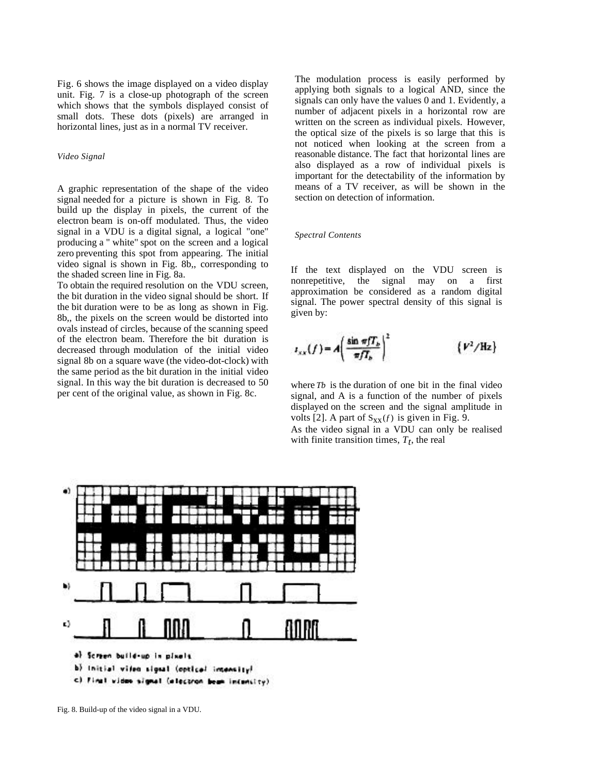Fig. 6 shows the image displayed on a video display unit. Fig. 7 is a close-up photograph of the screen which shows that the symbols displayed consist of small dots. These dots (pixels) are arranged in horizontal lines, just as in a normal TV receiver.

### *Video Signal*

A graphic representation of the shape of the video signal needed for a picture is shown in Fig. 8. To build up the display in pixels, the current of the electron beam is on-off modulated. Thus, the video signal in a VDU is a digital signal, a logical "one" producing a " white" spot on the screen and a logical zero preventing this spot from appearing. The initial video signal is shown in Fig. 8b,, corresponding to the shaded screen line in Fig. 8a.

To obtain the required resolution on the VDU screen, the bit duration in the video signal should be short. If the bit duration were to be as long as shown in Fig. 8b,, the pixels on the screen would be distorted into ovals instead of circles, because of the scanning speed of the electron beam. Therefore the bit duration is decreased through modulation of the initial video signal 8b on a square wave (the video-dot-clock) with the same period as the bit duration in the initial video signal. In this way the bit duration is decreased to 50 per cent of the original value, as shown in Fig. 8c.

The modulation process is easily performed by applying both signals to a logical AND, since the signals can only have the values 0 and 1. Evidently, a number of adjacent pixels in a horizontal row are written on the screen as individual pixels. However, the optical size of the pixels is so large that this is not noticed when looking at the screen from a reasonable distance. The fact that horizontal lines are also displayed as a row of individual pixels is important for the detectability of the information by means of a TV receiver, as will be shown in the section on detection of information.

### *Spectral Contents*

If the text displayed on the VDU screen is nonrepetitive, the signal may on a first approximation be considered as a random digital signal. The power spectral density of this signal is given by:

$$
I_{xx}(f) = A \left( \frac{\sin \pi f T_b}{\pi f T_b} \right)^2 \qquad \qquad \{ V^2 / \text{Hz} \}
$$

where *Th* is the duration of one bit in the final video signal, and A is a function of the number of pixels displayed on the screen and the signal amplitude in volts [2]. A part of  $S_{XX}(f)$  is given in Fig. 9.

As the video signal in a VDU can only be realised with finite transition times,  $T_t$ , the real



Fig. 8. Build-up of the video signal in a VDU.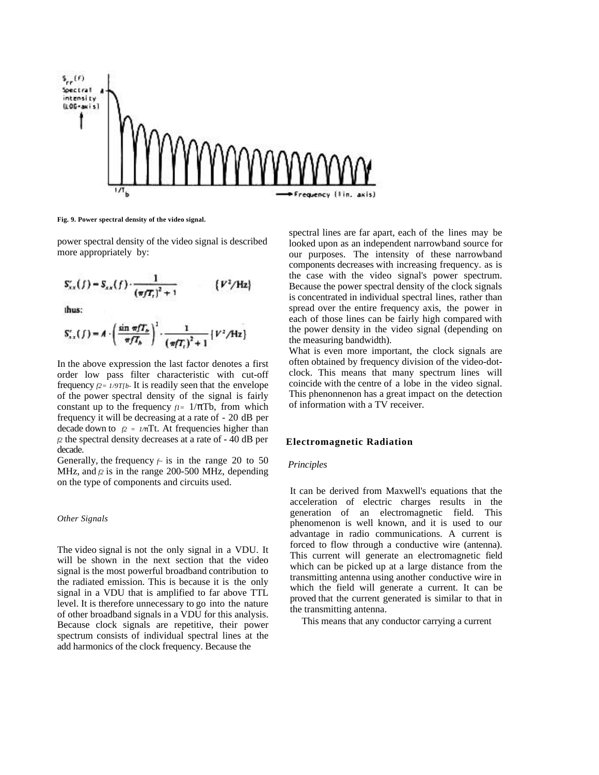

**Fig. 9. Power spectral density of the video signal.**

power spectral density of the video signal is described more appropriately by:

$$
S'_{xx}(f) = S_{xx}(f) \cdot \frac{1}{(\pi f T_{1})^{2} + 1} \qquad (\text{V}^{2}/\text{Hz})
$$

thus:

$$
S'_{n,x}(f) = A \cdot \left(\frac{\sin \pi f T_n}{\pi f T_n}\right)^2 \cdot \frac{1}{\left(\pi f T_n\right)^2 + 1} \left\{V^2 / \text{Hz}\right\}
$$

In the above expression the last factor denotes a first order low pass filter characteristic with cut-off frequency *f2= 1/9T[b-* It is readily seen that the envelope of the power spectral density of the signal is fairly constant up to the frequency *f1=* 1/ Tb, from which frequency it will be decreasing at a rate of - 20 dB per decade down to  $f2 = 1/Tt$ . At frequencies higher than *f2* the spectral density decreases at a rate of - 40 dB per decade.

Generally, the frequency  $f<sub>z</sub>$  is in the range 20 to 50 MHz, and *f2* is in the range 200-500 MHz, depending on the type of components and circuits used.

### *Other Signals*

The video signal is not the only signal in a VDU. It will be shown in the next section that the video signal is the most powerful broadband contribution to the radiated emission. This is because it is the only signal in a VDU that is amplified to far above TTL level. It is therefore unnecessary to go into the nature of other broadband signals in a VDU for this analysis. Because clock signals are repetitive, their power spectrum consists of individual spectral lines at the add harmonics of the clock frequency. Because the

spectral lines are far apart, each of the lines may be looked upon as an independent narrowband source for our purposes. The intensity of these narrowband components decreases with increasing frequency. as is the case with the video signal's power spectrum. Because the power spectral density of the clock signals is concentrated in individual spectral lines, rather than spread over the entire frequency axis, the power in each of those lines can be fairly high compared with the power density in the video signal (depending on the measuring bandwidth).

What is even more important, the clock signals are often obtained by frequency division of the video-dotclock. This means that many spectrum lines will coincide with the centre of a lobe in the video signal. This phenonnenon has a great impact on the detection of information with a TV receiver.

### **Electromagnetic Radiation**

### *Principles*

It can be derived from Maxwell's equations that the acceleration of electric charges results in the generation of an electromagnetic field. This phenomenon is well known, and it is used to our advantage in radio communications. A current is forced to flow through a conductive wire (antenna). This current will generate an electromagnetic field which can be picked up at a large distance from the transmitting antenna using another conductive wire in which the field will generate a current. It can be proved that the current generated is similar to that in the transmitting antenna.

This means that any conductor carrying a current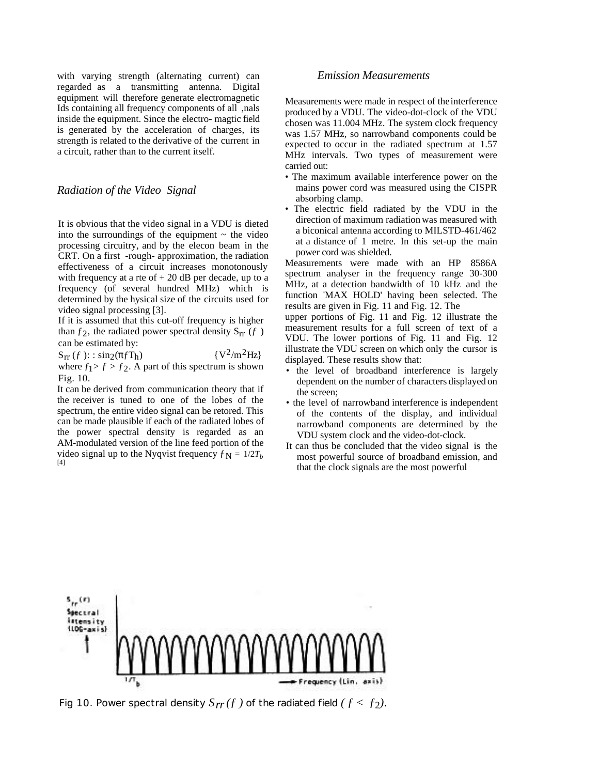with varying strength (alternating current) can regarded as a transmitting antenna. Digital equipment will therefore generate electromagnetic Ids containing all frequency components of all ,nals inside the equipment. Since the electro- magtic field is generated by the acceleration of charges, its strength is related to the derivative of the current in a circuit, rather than to the current itself.

### *Radiation of the Video Signal*

It is obvious that the video signal in a VDU is dieted into the surroundings of the equipment  $\sim$  the video processing circuitry, and by the elecon beam in the CRT. On a first -rough- approximation, the radiation effectiveness of a circuit increases monotonously with frequency at a rte of  $+ 20$  dB per decade, up to a frequency (of several hundred MHz) which is determined by the hysical size of the circuits used for video signal processing [3].

If it is assumed that this cut-off frequency is higher than  $f_2$ , the radiated power spectral density  $S_{rr}(f)$ can be estimated by:

 $S_{rr}(f)$ :  $\sin_2(f)T_h$  {V<sup>2</sup>/m<sup>2</sup>Hz}

where  $f_1 > f > f_2$ . A part of this spectrum is shown Fig. 10.

It can be derived from communication theory that if the receiver is tuned to one of the lobes of the spectrum, the entire video signal can be retored. This can be made plausible if each of the radiated lobes of the power spectral density is regarded as an AM-modulated version of the line feed portion of the video signal up to the Nyqvist frequency  $f_N = 1/2T_b$ [4]

### *Emission Measurements*

Measurements were made in respect of the interference produced by a VDU. The video-dot-clock of the VDU chosen was 11.004 MHz. The system clock frequency was 1.57 MHz, so narrowband components could be expected to occur in the radiated spectrum at 1.57 MHz intervals. Two types of measurement were carried out:

- The maximum available interference power on the mains power cord was measured using the CISPR absorbing clamp.
- The electric field radiated by the VDU in the direction of maximum radiation was measured with a biconical antenna according to MILSTD-461/462 at a distance of 1 metre. In this set-up the main power cord was shielded.

Measurements were made with an HP 8586A spectrum analyser in the frequency range 30-300 MHz, at a detection bandwidth of 10 kHz and the function 'MAX HOLD' having been selected. The results are given in Fig. 11 and Fig. 12. The

upper portions of Fig. 11 and Fig. 12 illustrate the measurement results for a full screen of text of a VDU. The lower portions of Fig. 11 and Fig. 12 illustrate the VDU screen on which only the cursor is displayed. These results show that:

- the level of broadband interference is largely dependent on the number of characters displayed on the screen;
- the level of narrowband interference is independent of the contents of the display, and individual narrowband components are determined by the VDU system clock and the video-dot-clock.
- It can thus be concluded that the video signal is the most powerful source of broadband emission, and that the clock signals are the most powerful



Fig 10. Power spectral density  $S_{rr}(f)$  of the radiated field  $(f < f<sub>2</sub>)$ .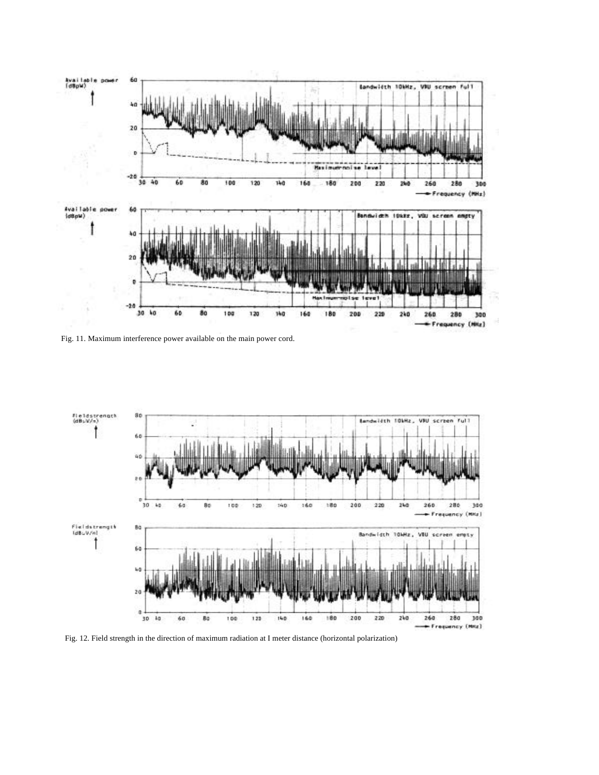

Fig. 11. Maximum interference power available on the main power cord.



Fig. 12. Field strength in the direction of maximum radiation at I meter distance (horizontal polarization)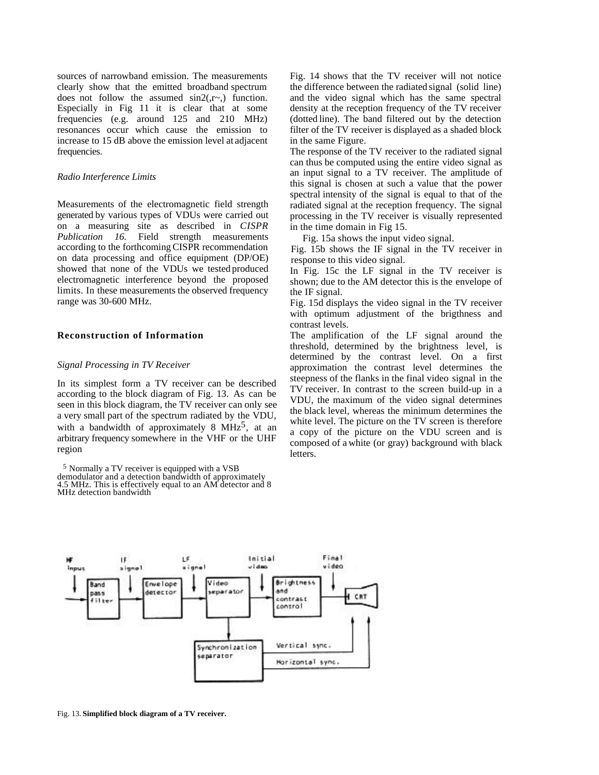sources of narrowband emission. The measurements clearly show that the emitted broadband spectrum does not follow the assumed  $sin2(f, \neg)$  function. Especially in Fig 11 it is clear that at some frequencies (e.g. around 125 and 210 MHz) resonances occur which cause the emission to increase to 15 dB above the emission level at adjacent frequencies.

### *Radio Interference Limits*

Measurements of the electromagnetic field strength generated by various types of VDUs were carried out on a measuring site as described in *CISPR Publication 16.* Field strength measurements according to the forthcoming CISPR recommendation on data processing and office equipment (DP/OE) showed that none of the VDUs we tested produced electromagnetic interference beyond the proposed limits. In these measurements the observed frequency range was 30-600 MHz.

### **Reconstruction of Information**

### *Signal Processing in TV Receiver*

In its simplest form a TV receiver can be described according to the block diagram of Fig. 13. As can be seen in this block diagram, the TV receiver can only see a very small part of the spectrum radiated by the VDU, with a bandwidth of approximately 8 MHz<sup>5</sup>, at an arbitrary frequency somewhere in the VHF or the UHF region

 5 Normally a TV receiver is equipped with a VSB demodulator and a detection bandwidth of approximately 4.5 MHz. This is effectively equal to an AM detector and 8 MHz detection bandwidth

Fig. 14 shows that the TV receiver will not notice the difference between the radiated signal (solid line) and the video signal which has the same spectral density at the reception frequency of the TV receiver (dotted line). The band filtered out by the detection filter of the TV receiver is displayed as a shaded block in the same Figure.

The response of the TV receiver to the radiated signal can thus be computed using the entire video signal as an input signal to a TV receiver. The amplitude of this signal is chosen at such a value that the power spectral intensity of the signal is equal to that of the radiated signal at the reception frequency. The signal processing in the TV receiver is visually represented in the time domain in Fig 15.

Fig. 15a shows the input video signal.

Fig. 15b shows the IF signal in the TV receiver in response to this video signal.

In Fig. 15c the LF signal in the TV receiver is shown; due to the AM detector this is the envelope of the IF signal.

Fig. 15d displays the video signal in the TV receiver with optimum adjustment of the brigthness and contrast levels.

The amplification of the LF signal around the threshold, determined by the brightness level, is determined by the contrast level. On a first approximation the contrast level determines the steepness of the flanks in the final video signal in the TV receiver. In contrast to the screen build-up in a VDU, the maximum of the video signal determines the black level, whereas the minimum determines the white level. The picture on the TV screen is therefore a copy of the picture on the VDU screen and is composed of a white (or gray) background with black letters.



Fig. 13. **Simplified block diagram of a TV receiver.**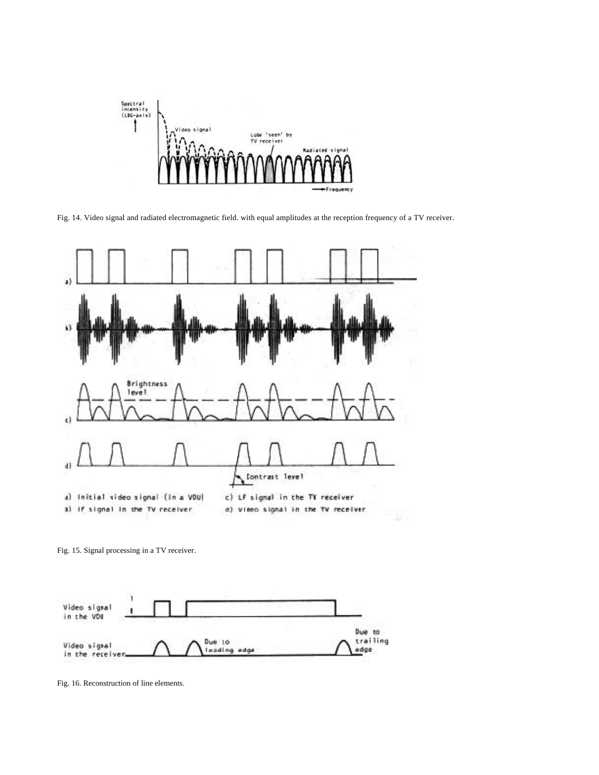

Fig. 14. Video signal and radiated electromagnetic field. with equal amplitudes at the reception frequency of a TV receiver.



Fig. 15. Signal processing in a TV receiver.



Fig. 16. Reconstruction of line elements.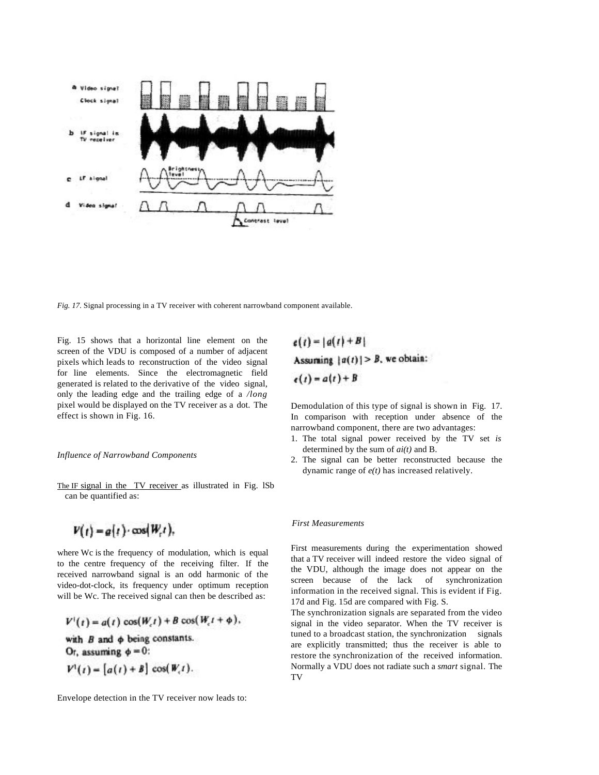

*Fig. 17.* Signal processing in a TV receiver with coherent narrowband component available.

Fig. 15 shows that a horizontal line element on the screen of the VDU is composed of a number of adjacent pixels which leads to reconstruction of the video signal for line elements. Since the electromagnetic field generated is related to the derivative of the video signal, only the leading edge and the trailing edge of a */long* pixel would be displayed on the TV receiver as a dot. The effect is shown in Fig. 16.

### *Influence of Narrowband Components*

The IF signal in the TV receiver as illustrated in Fig. lSb can be quantified as:

$$
V(t) = a(t) \cdot \cos(W_t).
$$

where Wc is the frequency of modulation, which is equal to the centre frequency of the receiving filter. If the received narrowband signal is an odd harmonic of the video-dot-clock, its frequency under optimum reception will be Wc. The received signal can then be described as:

$$
V'(t) = a(t) \cos(W_t t) + B \cos(W_t t + \phi)
$$
  
with *B* and  $\phi$  being constants.  
Or, assuming  $\phi = 0$ :  

$$
V'(t) = [a(t) + B] \cos(W_t t).
$$

Envelope detection in the TV receiver now leads to:

 $e(t) = |a(t) + B|$ Assuming  $|a(t)| > B$ , we obtain:

 $\epsilon(t) = a(t) + B$ 

Demodulation of this type of signal is shown in Fig. 17. In comparison with reception under absence of the narrowband component, there are two advantages:

- 1. The total signal power received by the TV set *is* determined by the sum of *ai(t)* and B.
- 2. The signal can be better reconstructed because the dynamic range of *e(t)* has increased relatively.

### *First Measurements*

First measurements during the experimentation showed that a TV receiver will indeed restore the video signal of the VDU, although the image does not appear on the screen because of the lack of synchronization information in the received signal. This is evident if Fig. 17d and Fig. 15d are compared with Fig. S.

The synchronization signals are separated from the video signal in the video separator. When the TV receiver is tuned to a broadcast station, the synchronization signals are explicitly transmitted; thus the receiver is able to restore the synchronization of the received information. Normally a VDU does not radiate such a *smart* signal. The TV